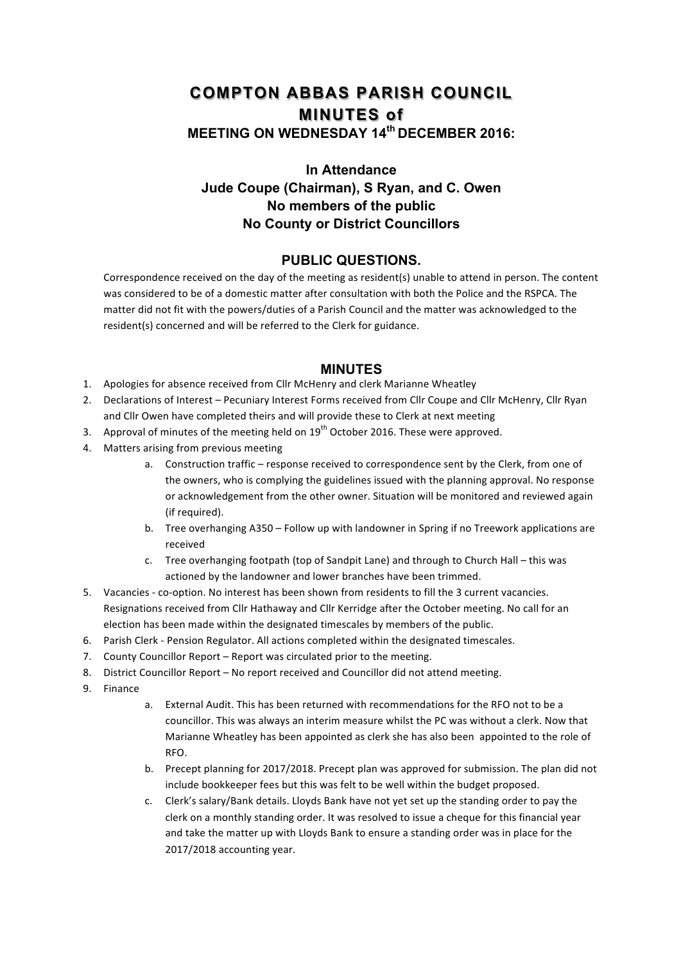## **COMPTON ABBAS PARISH COUNCIL MINUTES of MEETING ON WEDNESDAY 14th DECEMBER 2016:**

## **In Attendance Jude Coupe (Chairman), S Ryan, and C. Owen No members of the public No County or District Councillors**

## **PUBLIC QUESTIONS.**

Correspondence received on the day of the meeting as resident(s) unable to attend in person. The content was considered to be of a domestic matter after consultation with both the Police and the RSPCA. The matter did not fit with the powers/duties of a Parish Council and the matter was acknowledged to the resident(s) concerned and will be referred to the Clerk for guidance.

## **MINUTES**

- 1. Apologies for absence received from Cllr McHenry and clerk Marianne Wheatley
- 2. Declarations of Interest Pecuniary Interest Forms received from Cllr Coupe and Cllr McHenry, Cllr Ryan and Cllr Owen have completed theirs and will provide these to Clerk at next meeting
- 3. Approval of minutes of the meeting held on  $19<sup>th</sup>$  October 2016. These were approved.
- 4. Matters arising from previous meeting
	- a. Construction traffic response received to correspondence sent by the Clerk, from one of the owners, who is complying the guidelines issued with the planning approval. No response or acknowledgement from the other owner. Situation will be monitored and reviewed again (if required).
	- b. Tree overhanging A350 Follow up with landowner in Spring if no Treework applications are received
	- c. Tree overhanging footpath (top of Sandpit Lane) and through to Church Hall this was actioned by the landowner and lower branches have been trimmed.
- 5. Vacancies co-option. No interest has been shown from residents to fill the 3 current vacancies. Resignations received from Cllr Hathaway and Cllr Kerridge after the October meeting. No call for an election has been made within the designated timescales by members of the public.
- 6. Parish Clerk Pension Regulator. All actions completed within the designated timescales.
- 7. County Councillor Report Report was circulated prior to the meeting.
- 8. District Councillor Report No report received and Councillor did not attend meeting.
- 9. Finance
- a. External Audit. This has been returned with recommendations for the RFO not to be a councillor. This was always an interim measure whilst the PC was without a clerk. Now that Marianne Wheatley has been appointed as clerk she has also been appointed to the role of RFO.
- b. Precept planning for 2017/2018. Precept plan was approved for submission. The plan did not include bookkeeper fees but this was felt to be well within the budget proposed.
- c. Clerk's salary/Bank details. Lloyds Bank have not yet set up the standing order to pay the clerk on a monthly standing order. It was resolved to issue a cheque for this financial year and take the matter up with Lloyds Bank to ensure a standing order was in place for the 2017/2018 accounting year.